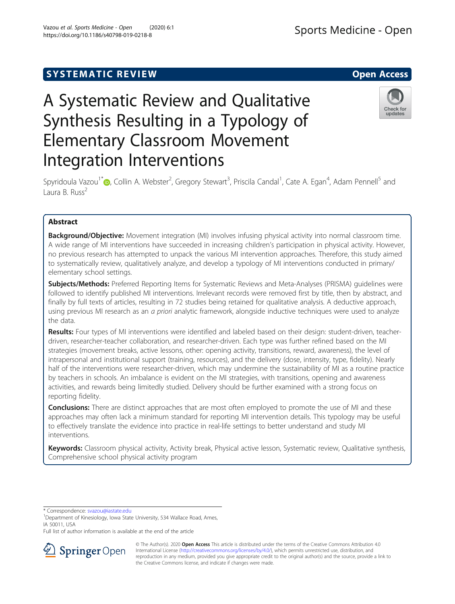## **SYSTEMATIC REVIEW ACCESS OPEN ACCESS**

https://doi.org/10.1186/s40798-019-0218-8

# A Systematic Review and Qualitative Synthesis Resulting in a Typology of Elementary Classroom Movement Integration Interventions

Spyridoula Vazou<sup>1[\\*](http://orcid.org/0000-0003-2524-1268)</sup>®, Collin A. Webster<sup>2</sup>, Gregory Stewart<sup>3</sup>, Priscila Candal<sup>1</sup>, Cate A. Egan<sup>4</sup>, Adam Pennell<sup>5</sup> and Laura B. Russ $<sup>2</sup>$ </sup>

### Abstract

Background/Objective: Movement integration (MI) involves infusing physical activity into normal classroom time. A wide range of MI interventions have succeeded in increasing children's participation in physical activity. However, no previous research has attempted to unpack the various MI intervention approaches. Therefore, this study aimed to systematically review, qualitatively analyze, and develop a typology of MI interventions conducted in primary/ elementary school settings.

Subjects/Methods: Preferred Reporting Items for Systematic Reviews and Meta-Analyses (PRISMA) quidelines were followed to identify published MI interventions. Irrelevant records were removed first by title, then by abstract, and finally by full texts of articles, resulting in 72 studies being retained for qualitative analysis. A deductive approach, using previous MI research as an a priori analytic framework, alongside inductive techniques were used to analyze the data.

Results: Four types of MI interventions were identified and labeled based on their design: student-driven, teacherdriven, researcher-teacher collaboration, and researcher-driven. Each type was further refined based on the MI strategies (movement breaks, active lessons, other: opening activity, transitions, reward, awareness), the level of intrapersonal and institutional support (training, resources), and the delivery (dose, intensity, type, fidelity). Nearly half of the interventions were researcher-driven, which may undermine the sustainability of MI as a routine practice by teachers in schools. An imbalance is evident on the MI strategies, with transitions, opening and awareness activities, and rewards being limitedly studied. Delivery should be further examined with a strong focus on reporting fidelity.

**Conclusions:** There are distinct approaches that are most often employed to promote the use of MI and these approaches may often lack a minimum standard for reporting MI intervention details. This typology may be useful to effectively translate the evidence into practice in real-life settings to better understand and study MI interventions.

Keywords: Classroom physical activity, Activity break, Physical active lesson, Systematic review, Qualitative synthesis, Comprehensive school physical activity program

\* Correspondence: [svazou@iastate.edu](mailto:svazou@iastate.edu) <sup>1</sup>

<sup>1</sup>Department of Kinesiology, Iowa State University, 534 Wallace Road, Ames, IA 50011, USA

Full list of author information is available at the end of the article



© The Author(s). 2020 Open Access This article is distributed under the terms of the Creative Commons Attribution 4.0 International License ([http://creativecommons.org/licenses/by/4.0/\)](http://creativecommons.org/licenses/by/4.0/), which permits unrestricted use, distribution, and reproduction in any medium, provided you give appropriate credit to the original author(s) and the source, provide a link to the Creative Commons license, and indicate if changes were made.

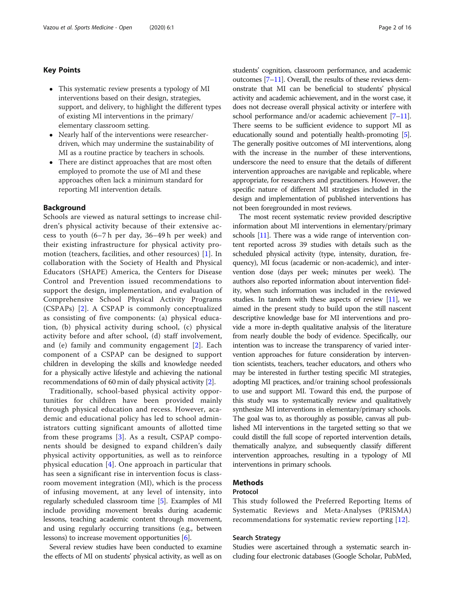#### Key Points

- This systematic review presents a typology of MI interventions based on their design, strategies, support, and delivery, to highlight the different types of existing MI interventions in the primary/ elementary classroom setting.
- Nearly half of the interventions were researcherdriven, which may undermine the sustainability of MI as a routine practice by teachers in schools.
- There are distinct approaches that are most often employed to promote the use of MI and these approaches often lack a minimum standard for reporting MI intervention details.

#### Background

Schools are viewed as natural settings to increase children's physical activity because of their extensive access to youth (6–7 h per day, 36–49 h per week) and their existing infrastructure for physical activity promotion (teachers, facilities, and other resources) [[1\]](#page-12-0). In collaboration with the Society of Health and Physical Educators (SHAPE) America, the Centers for Disease Control and Prevention issued recommendations to support the design, implementation, and evaluation of Comprehensive School Physical Activity Programs (CSPAPs) [[2\]](#page-12-0). A CSPAP is commonly conceptualized as consisting of five components: (a) physical education, (b) physical activity during school, (c) physical activity before and after school, (d) staff involvement, and (e) family and community engagement [[2](#page-12-0)]. Each component of a CSPAP can be designed to support children in developing the skills and knowledge needed for a physically active lifestyle and achieving the national recommendations of 60 min of daily physical activity [\[2](#page-12-0)].

Traditionally, school-based physical activity opportunities for children have been provided mainly through physical education and recess. However, academic and educational policy has led to school administrators cutting significant amounts of allotted time from these programs [[3\]](#page-12-0). As a result, CSPAP components should be designed to expand children's daily physical activity opportunities, as well as to reinforce physical education  $[4]$  $[4]$ . One approach in particular that has seen a significant rise in intervention focus is classroom movement integration (MI), which is the process of infusing movement, at any level of intensity, into regularly scheduled classroom time [[5](#page-12-0)]. Examples of MI include providing movement breaks during academic lessons, teaching academic content through movement, and using regularly occurring transitions (e.g., between lessons) to increase movement opportunities [[6\]](#page-12-0).

Several review studies have been conducted to examine the effects of MI on students' physical activity, as well as on students' cognition, classroom performance, and academic outcomes [\[7](#page-12-0)–[11](#page-12-0)]. Overall, the results of these reviews demonstrate that MI can be beneficial to students' physical activity and academic achievement, and in the worst case, it does not decrease overall physical activity or interfere with school performance and/or academic achievement [[7](#page-12-0)–[11](#page-12-0)]. There seems to be sufficient evidence to support MI as educationally sound and potentially health-promoting [[5](#page-12-0)]. The generally positive outcomes of MI interventions, along with the increase in the number of these interventions, underscore the need to ensure that the details of different intervention approaches are navigable and replicable, where appropriate, for researchers and practitioners. However, the specific nature of different MI strategies included in the design and implementation of published interventions has not been foregrounded in most reviews.

The most recent systematic review provided descriptive information about MI interventions in elementary/primary schools [\[11\]](#page-12-0). There was a wide range of intervention content reported across 39 studies with details such as the scheduled physical activity (type, intensity, duration, frequency), MI focus (academic or non-academic), and intervention dose (days per week; minutes per week). The authors also reported information about intervention fidelity, when such information was included in the reviewed studies. In tandem with these aspects of review  $[11]$  $[11]$  $[11]$ , we aimed in the present study to build upon the still nascent descriptive knowledge base for MI interventions and provide a more in-depth qualitative analysis of the literature from nearly double the body of evidence. Specifically, our intention was to increase the transparency of varied intervention approaches for future consideration by intervention scientists, teachers, teacher educators, and others who may be interested in further testing specific MI strategies, adopting MI practices, and/or training school professionals to use and support MI. Toward this end, the purpose of this study was to systematically review and qualitatively synthesize MI interventions in elementary/primary schools. The goal was to, as thoroughly as possible, canvas all published MI interventions in the targeted setting so that we could distill the full scope of reported intervention details, thematically analyze, and subsequently classify different intervention approaches, resulting in a typology of MI interventions in primary schools.

#### Methods

#### Protocol

This study followed the Preferred Reporting Items of Systematic Reviews and Meta-Analyses (PRISMA) recommendations for systematic review reporting [[12\]](#page-12-0).

#### Search Strategy

Studies were ascertained through a systematic search including four electronic databases (Google Scholar, PubMed,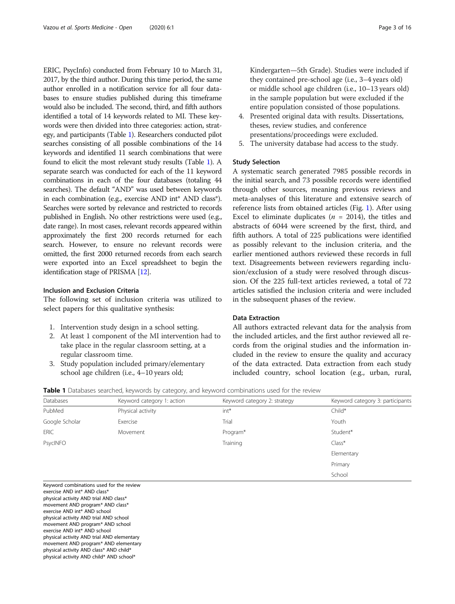ERIC, PsycInfo) conducted from February 10 to March 31, 2017, by the third author. During this time period, the same author enrolled in a notification service for all four databases to ensure studies published during this timeframe would also be included. The second, third, and fifth authors identified a total of 14 keywords related to MI. These keywords were then divided into three categories: action, strategy, and participants (Table 1). Researchers conducted pilot searches consisting of all possible combinations of the 14 keywords and identified 11 search combinations that were found to elicit the most relevant study results (Table 1). A separate search was conducted for each of the 11 keyword combinations in each of the four databases (totaling 44 searches). The default "AND" was used between keywords in each combination (e.g., exercise AND int\* AND class\*). Searches were sorted by relevance and restricted to records published in English. No other restrictions were used (e.g., date range). In most cases, relevant records appeared within approximately the first 200 records returned for each search. However, to ensure no relevant records were omitted, the first 2000 returned records from each search were exported into an Excel spreadsheet to begin the identification stage of PRISMA [\[12\]](#page-12-0).

#### Inclusion and Exclusion Criteria

The following set of inclusion criteria was utilized to select papers for this qualitative synthesis:

- 1. Intervention study design in a school setting.
- 2. At least 1 component of the MI intervention had to take place in the regular classroom setting, at a regular classroom time.
- 3. Study population included primary/elementary school age children (i.e., 4–10 years old;

Kindergarten—5th Grade). Studies were included if they contained pre-school age (i.e., 3–4 years old) or middle school age children (i.e., 10–13 years old) in the sample population but were excluded if the entire population consisted of those populations.

- 4. Presented original data with results. Dissertations, theses, review studies, and conference presentations/proceedings were excluded.
- 5. The university database had access to the study.

#### Study Selection

A systematic search generated 7985 possible records in the initial search, and 73 possible records were identified through other sources, meaning previous reviews and meta-analyses of this literature and extensive search of reference lists from obtained articles (Fig. [1](#page-3-0)). After using Excel to eliminate duplicates ( $n = 2014$ ), the titles and abstracts of 6044 were screened by the first, third, and fifth authors. A total of 225 publications were identified as possibly relevant to the inclusion criteria, and the earlier mentioned authors reviewed these records in full text. Disagreements between reviewers regarding inclusion/exclusion of a study were resolved through discussion. Of the 225 full-text articles reviewed, a total of 72 articles satisfied the inclusion criteria and were included in the subsequent phases of the review.

#### Data Extraction

All authors extracted relevant data for the analysis from the included articles, and the first author reviewed all records from the original studies and the information included in the review to ensure the quality and accuracy of the data extracted. Data extraction from each study included country, school location (e.g., urban, rural,

| Table 1 Databases searched, keywords by category, and keyword combinations used for the review |  |  |  |  |  |  |  |  |
|------------------------------------------------------------------------------------------------|--|--|--|--|--|--|--|--|
|------------------------------------------------------------------------------------------------|--|--|--|--|--|--|--|--|

| Databases      | Keyword category 1: action | Keyword category 2: strategy | Keyword category 3: participants |
|----------------|----------------------------|------------------------------|----------------------------------|
| PubMed         | Physical activity          | $int*$                       | Child*                           |
| Google Scholar | Exercise                   | Trial                        | Youth                            |
| <b>ERIC</b>    | Movement                   | Program*                     | Student*                         |
| PsycINFO       |                            | Training                     | $Class*$                         |
|                |                            |                              | Elementary                       |
|                |                            |                              | Primary                          |
|                |                            |                              | School                           |

Keyword combinations used for the review exercise AND int\* AND class<sup>\*</sup> physical activity AND trial AND class\* movement AND program\* AND class\* exercise AND int\* AND school physical activity AND trial AND school movement AND program\* AND school exercise AND int\* AND school physical activity AND trial AND elementary movement AND program\* AND elementary physical activity AND class\* AND child\* physical activity AND child\* AND school\*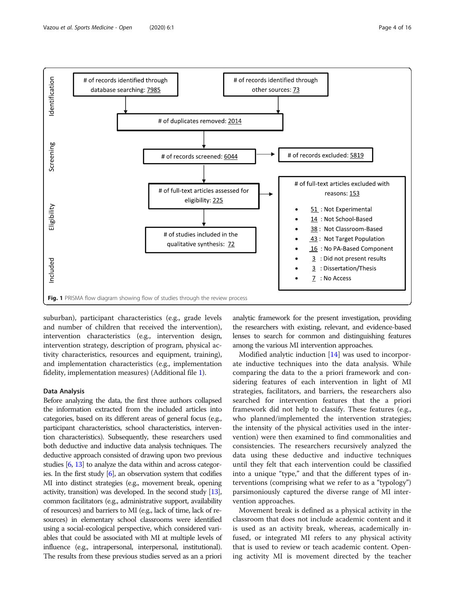<span id="page-3-0"></span>

suburban), participant characteristics (e.g., grade levels and number of children that received the intervention), intervention characteristics (e.g., intervention design, intervention strategy, description of program, physical activity characteristics, resources and equipment, training), and implementation characteristics (e.g., implementation fidelity, implementation measures) (Additional file [1\)](#page-12-0).

#### Data Analysis

Before analyzing the data, the first three authors collapsed the information extracted from the included articles into categories, based on its different areas of general focus (e.g., participant characteristics, school characteristics, intervention characteristics). Subsequently, these researchers used both deductive and inductive data analysis techniques. The deductive approach consisted of drawing upon two previous studies [\[6](#page-12-0), [13](#page-12-0)] to analyze the data within and across categories. In the first study [\[6\]](#page-12-0), an observation system that codifies MI into distinct strategies (e.g., movement break, opening activity, transition) was developed. In the second study [\[13](#page-12-0)], common facilitators (e.g., administrative support, availability of resources) and barriers to MI (e.g., lack of time, lack of resources) in elementary school classrooms were identified using a social-ecological perspective, which considered variables that could be associated with MI at multiple levels of influence (e.g., intrapersonal, interpersonal, institutional). The results from these previous studies served as an a priori

analytic framework for the present investigation, providing the researchers with existing, relevant, and evidence-based lenses to search for common and distinguishing features among the various MI intervention approaches.

Modified analytic induction [[14](#page-12-0)] was used to incorporate inductive techniques into the data analysis. While comparing the data to the a priori framework and considering features of each intervention in light of MI strategies, facilitators, and barriers, the researchers also searched for intervention features that the a priori framework did not help to classify. These features (e.g., who planned/implemented the intervention strategies; the intensity of the physical activities used in the intervention) were then examined to find commonalities and consistencies. The researchers recursively analyzed the data using these deductive and inductive techniques until they felt that each intervention could be classified into a unique "type," and that the different types of interventions (comprising what we refer to as a "typology") parsimoniously captured the diverse range of MI intervention approaches.

Movement break is defined as a physical activity in the classroom that does not include academic content and it is used as an activity break, whereas, academically infused, or integrated MI refers to any physical activity that is used to review or teach academic content. Opening activity MI is movement directed by the teacher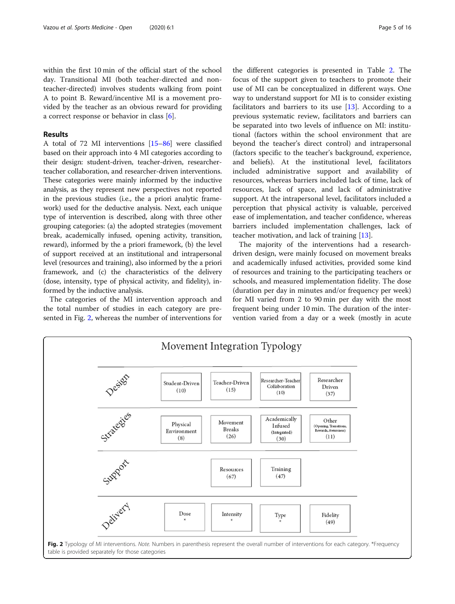within the first 10 min of the official start of the school day. Transitional MI (both teacher-directed and nonteacher-directed) involves students walking from point A to point B. Reward/incentive MI is a movement provided by the teacher as an obvious reward for providing a correct response or behavior in class [\[6](#page-12-0)].

#### Results

A total of 72 MI interventions [\[15](#page-13-0)–[86\]](#page-14-0) were classified based on their approach into 4 MI categories according to their design: student-driven, teacher-driven, researcherteacher collaboration, and researcher-driven interventions. These categories were mainly informed by the inductive analysis, as they represent new perspectives not reported in the previous studies (i.e., the a priori analytic framework) used for the deductive analysis. Next, each unique type of intervention is described, along with three other grouping categories: (a) the adopted strategies (movement break, academically infused, opening activity, transition, reward), informed by the a priori framework, (b) the level of support received at an institutional and intrapersonal level (resources and training), also informed by the a priori framework, and (c) the characteristics of the delivery (dose, intensity, type of physical activity, and fidelity), informed by the inductive analysis.

The categories of the MI intervention approach and the total number of studies in each category are presented in Fig. 2, whereas the number of interventions for

the different categories is presented in Table [2](#page-5-0). The focus of the support given to teachers to promote their use of MI can be conceptualized in different ways. One way to understand support for MI is to consider existing facilitators and barriers to its use  $[13]$  $[13]$ . According to a previous systematic review, facilitators and barriers can be separated into two levels of influence on MI: institutional (factors within the school environment that are beyond the teacher's direct control) and intrapersonal (factors specific to the teacher's background, experience, and beliefs). At the institutional level, facilitators included administrative support and availability of resources, whereas barriers included lack of time, lack of resources, lack of space, and lack of administrative support. At the intrapersonal level, facilitators included a perception that physical activity is valuable, perceived ease of implementation, and teacher confidence, whereas barriers included implementation challenges, lack of teacher motivation, and lack of training [[13\]](#page-12-0).

The majority of the interventions had a researchdriven design, were mainly focused on movement breaks and academically infused activities, provided some kind of resources and training to the participating teachers or schools, and measured implementation fidelity. The dose (duration per day in minutes and/or frequency per week) for MI varied from 2 to 90 min per day with the most frequent being under 10 min. The duration of the intervention varied from a day or a week (mostly in acute

Researcher

Driven



Movement Integration Typology

Teacher-Driven

 $(15)$ 

Student-Driven

 $(10)$ 

Researcher-Teacher

Collaboration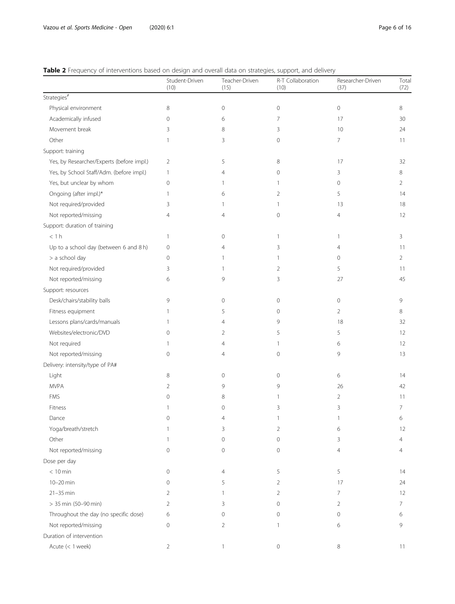## <span id="page-5-0"></span>Table 2 Frequency of interventions based on design and overall data on strategies, support, and delivery

|                                           | Student-Driven<br>(10) | Teacher-Driven<br>(15) | R-T Collaboration<br>(10) | Researcher-Driven<br>(37) | Total<br>(72)  |
|-------------------------------------------|------------------------|------------------------|---------------------------|---------------------------|----------------|
| Strategies#                               |                        |                        |                           |                           |                |
| Physical environment                      | 8                      | $\mathbf{0}$           | 0                         | 0                         | 8              |
| Academically infused                      | $\mathbf{0}$           | 6                      | 7                         | 17                        | 30             |
| Movement break                            | 3                      | 8                      | 3                         | 10                        | 24             |
| Other                                     | 1                      | 3                      | $\circ$                   | 7                         | 11             |
| Support: training                         |                        |                        |                           |                           |                |
| Yes, by Researcher/Experts (before impl.) | 2                      | 5                      | 8                         | 17                        | 32             |
| Yes, by School Staff/Adm. (before impl.)  | 1                      | 4                      | $\circ$                   | 3                         | 8              |
| Yes, but unclear by whom                  | $\mathbf 0$            | 1                      | 1                         | 0                         | 2              |
| Ongoing (after impl.)*                    | 1                      | 6                      | 2                         | 5                         | 14             |
| Not required/provided                     | 3                      | 1                      | 1                         | 13                        | 18             |
| Not reported/missing                      | 4                      | 4                      | $\mathbf{0}$              | 4                         | 12             |
| Support: duration of training             |                        |                        |                           |                           |                |
| < 1 h                                     | 1                      | $\mathbf{0}$           | 1                         | 1                         | 3              |
| Up to a school day (between 6 and 8 h)    | $\mathbf{0}$           | 4                      | 3                         | 4                         | 11             |
| > a school day                            | 0                      | -1                     | 1                         | 0                         | 2              |
| Not required/provided                     | 3                      | 1                      | $\overline{2}$            | 5                         | 11             |
| Not reported/missing                      | 6                      | $\circ$                | 3                         | 27                        | 45             |
| Support: resources                        |                        |                        |                           |                           |                |
| Desk/chairs/stability balls               | 9                      | $\mathbf{0}$           | $\circ$                   | 0                         | 9              |
| Fitness equipment                         | 1                      | 5                      | $\circ$                   | $\overline{2}$            | 8              |
| Lessons plans/cards/manuals               | 1                      | $\overline{4}$         | 9                         | 18                        | 32             |
| Websites/electronic/DVD                   | 0                      | 2                      | 5                         | 5                         | 12             |
| Not required                              | 1                      | $\overline{4}$         | 1                         | 6                         | 12             |
| Not reported/missing                      | 0                      | $\overline{4}$         | 0                         | 9                         | 13             |
| Delivery: intensity/type of PA#           |                        |                        |                           |                           |                |
| Light                                     | 8                      | $\mathbf{0}$           | $\circ$                   | 6                         | 14             |
| <b>MVPA</b>                               | 2                      | 9                      | 9                         | 26                        | 42             |
| <b>FMS</b>                                | 0                      | 8                      | 1                         | 2                         | 11             |
| Fitness                                   |                        | $\mathbf{0}$           | 3                         | 3                         | 7              |
| Dance                                     | U                      | 4                      |                           |                           | 6              |
| Yoga/breath/stretch                       | 1                      | 3                      | 2                         | 6                         | 12             |
| Other                                     | 1                      | $\mathbf{0}$           | $\circ$                   | 3                         | 4              |
| Not reported/missing                      | 0                      | 0                      | 0                         | 4                         | 4              |
| Dose per day                              |                        |                        |                           |                           |                |
| $< 10$ min                                | $\mathbf 0$            | $\overline{4}$         | 5                         | 5                         | 14             |
| 10-20 min                                 | 0                      | 5                      | 2                         | 17                        | 24             |
| $21 - 35$ min                             | 2                      | 1                      | 2                         | 7                         | 12             |
| > 35 min (50-90 min)                      | $\overline{2}$         | 3                      | 0                         | 2                         | $\overline{7}$ |
| Throughout the day (no specific dose)     | 6                      | $\circ$                | 0                         | 0                         | 6              |
| Not reported/missing                      | $\mathbf 0$            | 2                      | 1                         | 6                         | 9              |
| Duration of intervention                  |                        |                        |                           |                           |                |
| Acute (< 1 week)                          | 2                      |                        | $\circ$                   | 8                         | 11             |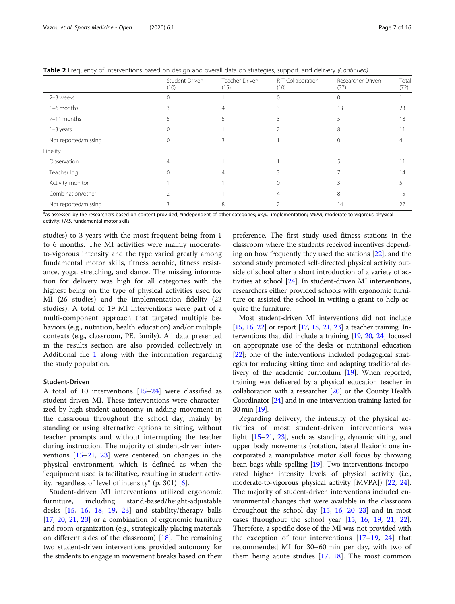Table 2 Frequency of interventions based on design and overall data on strategies, support, and delivery (Continued)

|                      | Student-Driven<br>(10) | Teacher-Driven<br>(15) | R-T Collaboration<br>(10) | Researcher-Driven<br>(37) | Tota<br>(72) |
|----------------------|------------------------|------------------------|---------------------------|---------------------------|--------------|
| 2-3 weeks            |                        |                        |                           |                           |              |
| 1-6 months           |                        |                        |                           | 13                        | 23           |
| 7-11 months          |                        |                        |                           |                           | 18           |
| $1 - 3$ years        |                        |                        |                           | 8                         |              |
| Not reported/missing |                        |                        |                           |                           |              |
| Fidelity             |                        |                        |                           |                           |              |
| Observation          |                        |                        |                           |                           |              |
| Teacher log          |                        |                        |                           |                           | 14           |
| Activity monitor     |                        |                        |                           |                           |              |
| Combination/other    |                        |                        |                           | 8                         | 15           |
| Not reported/missing |                        |                        |                           | 14                        | 27           |

#as assessed by the researchers based on content provided; \*independent of other categories; Impl., implementation; MVPA, moderate-to-vigorous physical activity; FMS, fundamental motor skills

studies) to 3 years with the most frequent being from 1 to 6 months. The MI activities were mainly moderateto-vigorous intensity and the type varied greatly among fundamental motor skills, fitness aerobic, fitness resistance, yoga, stretching, and dance. The missing information for delivery was high for all categories with the highest being on the type of physical activities used for MI (26 studies) and the implementation fidelity (23 studies). A total of 19 MI interventions were part of a multi-component approach that targeted multiple behaviors (e.g., nutrition, health education) and/or multiple contexts (e.g., classroom, PE, family). All data presented in the results section are also provided collectively in Additional file [1](#page-12-0) along with the information regarding the study population.

#### Student-Driven

A total of 10 interventions [\[15](#page-13-0)–[24\]](#page-13-0) were classified as student-driven MI. These interventions were characterized by high student autonomy in adding movement in the classroom throughout the school day, mainly by standing or using alternative options to sitting, without teacher prompts and without interrupting the teacher during instruction. The majority of student-driven interventions [[15](#page-13-0)–[21](#page-13-0), [23](#page-13-0)] were centered on changes in the physical environment, which is defined as when the "equipment used is facilitative, resulting in student activity, regardless of level of intensity" (p. 301) [\[6](#page-12-0)].

Student-driven MI interventions utilized ergonomic furniture, including stand-based/height-adjustable desks [[15](#page-13-0), [16,](#page-13-0) [18,](#page-13-0) [19](#page-13-0), [23](#page-13-0)] and stability/therapy balls [[17](#page-13-0), [20,](#page-13-0) [21](#page-13-0), [23\]](#page-13-0) or a combination of ergonomic furniture and room organization (e.g., strategically placing materials on different sides of the classroom) [\[18\]](#page-13-0). The remaining two student-driven interventions provided autonomy for the students to engage in movement breaks based on their

preference. The first study used fitness stations in the classroom where the students received incentives depending on how frequently they used the stations [\[22](#page-13-0)], and the second study promoted self-directed physical activity outside of school after a short introduction of a variety of activities at school [[24](#page-13-0)]. In student-driven MI interventions, researchers either provided schools with ergonomic furniture or assisted the school in writing a grant to help acquire the furniture.

Most student-driven MI interventions did not include [[15](#page-13-0), [16,](#page-13-0) [22](#page-13-0)] or report [[17](#page-13-0), [18,](#page-13-0) [21](#page-13-0), [23\]](#page-13-0) a teacher training. Interventions that did include a training [\[19](#page-13-0), [20](#page-13-0), [24](#page-13-0)] focused on appropriate use of the desks or nutritional education [[22](#page-13-0)]; one of the interventions included pedagogical strategies for reducing sitting time and adapting traditional delivery of the academic curriculum [\[19\]](#page-13-0). When reported, training was delivered by a physical education teacher in collaboration with a researcher [\[20\]](#page-13-0) or the County Health Coordinator [[24\]](#page-13-0) and in one intervention training lasted for 30 min [\[19\]](#page-13-0).

Regarding delivery, the intensity of the physical activities of most student-driven interventions was light [\[15](#page-13-0)–[21](#page-13-0), [23\]](#page-13-0), such as standing, dynamic sitting, and upper body movements (rotation, lateral flexion); one incorporated a manipulative motor skill focus by throwing bean bags while spelling [\[19\]](#page-13-0). Two interventions incorporated higher intensity levels of physical activity (i.e., moderate-to-vigorous physical activity [MVPA]) [[22](#page-13-0), [24](#page-13-0)]. The majority of student-driven interventions included environmental changes that were available in the classroom throughout the school day  $[15, 16, 20-23]$  $[15, 16, 20-23]$  $[15, 16, 20-23]$  $[15, 16, 20-23]$  $[15, 16, 20-23]$  $[15, 16, 20-23]$  $[15, 16, 20-23]$  and in most cases throughout the school year [\[15,](#page-13-0) [16,](#page-13-0) [19,](#page-13-0) [21](#page-13-0), [22](#page-13-0)]. Therefore, a specific dose of the MI was not provided with the exception of four interventions  $[17-19, 24]$  $[17-19, 24]$  $[17-19, 24]$  $[17-19, 24]$  $[17-19, 24]$  $[17-19, 24]$  $[17-19, 24]$  that recommended MI for 30–60 min per day, with two of them being acute studies  $[17, 18]$  $[17, 18]$  $[17, 18]$  $[17, 18]$  $[17, 18]$ . The most common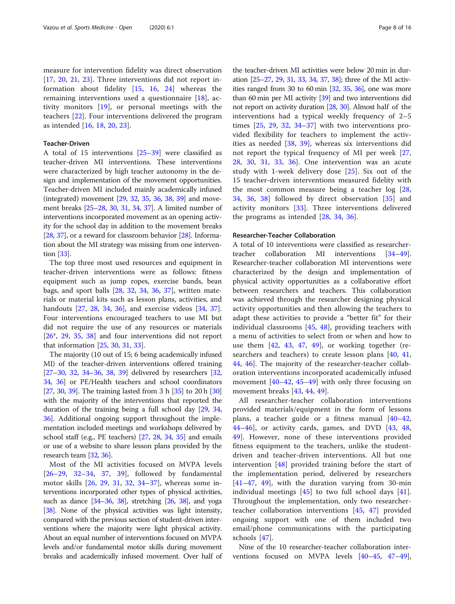measure for intervention fidelity was direct observation [[17,](#page-13-0) [20,](#page-13-0) [21,](#page-13-0) [23](#page-13-0)]. Three interventions did not report information about fidelity [[15](#page-13-0), [16,](#page-13-0) [24\]](#page-13-0) whereas the remaining interventions used a questionnaire [\[18](#page-13-0)], activity monitors [[19](#page-13-0)], or personal meetings with the teachers [[22\]](#page-13-0). Four interventions delivered the program as intended [[16,](#page-13-0) [18,](#page-13-0) [20](#page-13-0), [23](#page-13-0)].

#### Teacher-Driven

A total of 15 interventions [\[25](#page-13-0)–[39\]](#page-13-0) were classified as teacher-driven MI interventions. These interventions were characterized by high teacher autonomy in the design and implementation of the movement opportunities. Teacher-driven MI included mainly academically infused (integrated) movement [[29](#page-13-0), [32](#page-13-0), [35](#page-13-0), [36](#page-13-0), [38](#page-13-0), [39\]](#page-13-0) and movement breaks [[25](#page-13-0)–[28,](#page-13-0) [30](#page-13-0), [31,](#page-13-0) [34,](#page-13-0) [37\]](#page-13-0). A limited number of interventions incorporated movement as an opening activity for the school day in addition to the movement breaks [[28](#page-13-0), [37\]](#page-13-0), or a reward for classroom behavior [\[28\]](#page-13-0). Information about the MI strategy was missing from one intervention [\[33\]](#page-13-0).

The top three most used resources and equipment in teacher-driven interventions were as follows: fitness equipment such as jump ropes, exercise bands, bean bags, and sport balls [\[28](#page-13-0), [32](#page-13-0), [34](#page-13-0), [36](#page-13-0), [37](#page-13-0)], written materials or material kits such as lesson plans, activities, and handouts [[27,](#page-13-0) [28,](#page-13-0) [34](#page-13-0), [36](#page-13-0)], and exercise videos [\[34,](#page-13-0) [37](#page-13-0)]. Four interventions encouraged teachers to use MI but did not require the use of any resources or materials [[26\\*](#page-13-0), [29,](#page-13-0) [35](#page-13-0), [38\]](#page-13-0) and four interventions did not report that information [\[25](#page-13-0), [30](#page-13-0), [31,](#page-13-0) [33\]](#page-13-0).

The majority (10 out of 15; 6 being academically infused MI) of the teacher-driven interventions offered training [[27](#page-13-0)–[30,](#page-13-0) [32,](#page-13-0) [34](#page-13-0)–[36,](#page-13-0) [38,](#page-13-0) [39\]](#page-13-0) delivered by researchers [[32](#page-13-0), [34](#page-13-0), [36](#page-13-0)] or PE/Health teachers and school coordinators [[27](#page-13-0), [30](#page-13-0), [39\]](#page-13-0). The training lasted from 3 h [\[35\]](#page-13-0) to 20 h [[30](#page-13-0)] with the majority of the interventions that reported the duration of the training being a full school day [[29](#page-13-0), [34](#page-13-0), [36](#page-13-0)]. Additional ongoing support throughout the implementation included meetings and workshops delivered by school staff (e.g., PE teachers) [[27](#page-13-0), [28,](#page-13-0) [34,](#page-13-0) [35](#page-13-0)] and emails or use of a website to share lesson plans provided by the research team [\[32,](#page-13-0) [36](#page-13-0)].

Most of the MI activities focused on MVPA levels [[26](#page-13-0)–[29,](#page-13-0) [32](#page-13-0)–[34](#page-13-0), [37,](#page-13-0) [39](#page-13-0)], followed by fundamental motor skills [[26,](#page-13-0) [29](#page-13-0), [31](#page-13-0), [32,](#page-13-0) [34](#page-13-0)–[37](#page-13-0)], whereas some interventions incorporated other types of physical activities, such as dance  $[34–36, 38]$  $[34–36, 38]$  $[34–36, 38]$  $[34–36, 38]$  $[34–36, 38]$ , stretching  $[26, 38]$  $[26, 38]$  $[26, 38]$ , and yoga [[38](#page-13-0)]. None of the physical activities was light intensity, compared with the previous section of student-driven interventions where the majority were light physical activity. About an equal number of interventions focused on MVPA levels and/or fundamental motor skills during movement breaks and academically infused movement. Over half of

the teacher-driven MI activities were below 20 min in duration [[25](#page-13-0)–[27](#page-13-0), [29](#page-13-0), [31,](#page-13-0) [33](#page-13-0), [34](#page-13-0), [37,](#page-13-0) [38\]](#page-13-0); three of the MI activities ranged from 30 to 60 min [\[32,](#page-13-0) [35,](#page-13-0) [36](#page-13-0)], one was more than 60 min per MI activity  $\left[39\right]$  $\left[39\right]$  $\left[39\right]$  and two interventions did not report on activity duration [[28,](#page-13-0) [30](#page-13-0)]. Almost half of the interventions had a typical weekly frequency of 2–5 times  $[25, 29, 32, 34-37]$  $[25, 29, 32, 34-37]$  $[25, 29, 32, 34-37]$  $[25, 29, 32, 34-37]$  $[25, 29, 32, 34-37]$  $[25, 29, 32, 34-37]$  $[25, 29, 32, 34-37]$  $[25, 29, 32, 34-37]$  $[25, 29, 32, 34-37]$  $[25, 29, 32, 34-37]$  $[25, 29, 32, 34-37]$  with two interventions provided flexibility for teachers to implement the activities as needed [[38](#page-13-0), [39\]](#page-13-0), whereas six interventions did not report the typical frequency of MI per week [\[27](#page-13-0), [28,](#page-13-0) [30,](#page-13-0) [31](#page-13-0), [33](#page-13-0), [36](#page-13-0)]. One intervention was an acute study with 1-week delivery dose [[25\]](#page-13-0). Six out of the 15 teacher-driven interventions measured fidelity with the most common measure being a teacher log [\[28](#page-13-0), [34,](#page-13-0) [36,](#page-13-0) [38\]](#page-13-0) followed by direct observation [\[35](#page-13-0)] and activity monitors [[33\]](#page-13-0). Three interventions delivered the programs as intended [\[28](#page-13-0), [34](#page-13-0), [36](#page-13-0)].

#### Researcher-Teacher Collaboration

A total of 10 interventions were classified as researcherteacher collaboration MI interventions [[34](#page-13-0)–[49](#page-13-0)]. Researcher-teacher collaboration MI interventions were characterized by the design and implementation of physical activity opportunities as a collaborative effort between researchers and teachers. This collaboration was achieved through the researcher designing physical activity opportunities and then allowing the teachers to adapt these activities to provide a "better fit" for their individual classrooms [[45,](#page-13-0) [48\]](#page-13-0), providing teachers with a menu of activities to select from or when and how to use them  $[42, 43, 47, 49]$  $[42, 43, 47, 49]$  $[42, 43, 47, 49]$  $[42, 43, 47, 49]$  $[42, 43, 47, 49]$  $[42, 43, 47, 49]$  $[42, 43, 47, 49]$ , or working together (re-searchers and teachers) to create lesson plans [[40,](#page-13-0) [41](#page-13-0), [44,](#page-13-0) [46\]](#page-13-0). The majority of the researcher-teacher collaboration interventions incorporated academically infused movement  $[40-42, 45-49]$  $[40-42, 45-49]$  $[40-42, 45-49]$  $[40-42, 45-49]$  $[40-42, 45-49]$  $[40-42, 45-49]$  $[40-42, 45-49]$  $[40-42, 45-49]$  with only three focusing on movement breaks [[43,](#page-13-0) [44,](#page-13-0) [49](#page-13-0)].

All researcher-teacher collaboration interventions provided materials/equipment in the form of lessons plans, a teacher guide or a fitness manual [\[40](#page-13-0)–[42](#page-13-0), [44](#page-13-0)–[46\]](#page-13-0), or activity cards, games, and DVD [\[43](#page-13-0), [48](#page-13-0), [49\]](#page-13-0). However, none of these interventions provided fitness equipment to the teachers, unlike the studentdriven and teacher-driven interventions. All but one intervention [\[48](#page-13-0)] provided training before the start of the implementation period, delivered by researchers  $[41-47, 49]$  $[41-47, 49]$  $[41-47, 49]$  $[41-47, 49]$  $[41-47, 49]$  $[41-47, 49]$ , with the duration varying from 30-min individual meetings [[45\]](#page-13-0) to two full school days [\[41](#page-13-0)]. Throughout the implementation, only two researcherteacher collaboration interventions [[45](#page-13-0), [47](#page-13-0)] provided ongoing support with one of them included two email/phone communications with the participating schools [[47\]](#page-13-0).

Nine of the 10 researcher-teacher collaboration interventions focused on MVPA levels [\[40](#page-13-0)–[45,](#page-13-0) [47](#page-13-0)–[49](#page-13-0)],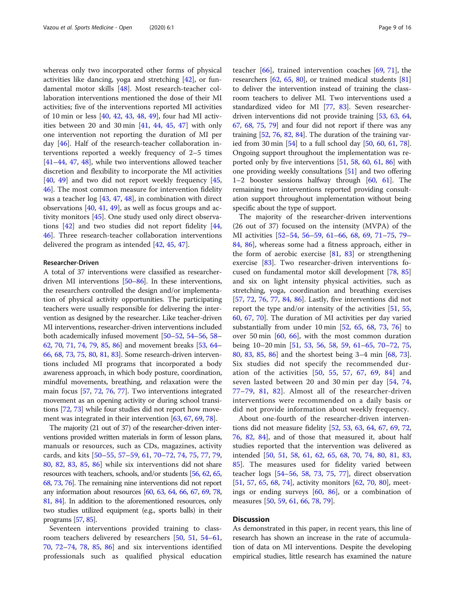whereas only two incorporated other forms of physical activities like dancing, yoga and stretching [[42](#page-13-0)], or fundamental motor skills [\[48\]](#page-13-0). Most research-teacher collaboration interventions mentioned the dose of their MI activities; five of the interventions reported MI activities of 10 min or less [[40,](#page-13-0) [42](#page-13-0), [43,](#page-13-0) [48](#page-13-0), [49](#page-13-0)], four had MI activities between 20 and 30 min [[41](#page-13-0), [44,](#page-13-0) [45,](#page-13-0) [47](#page-13-0)] with only one intervention not reporting the duration of MI per day [\[46](#page-13-0)]. Half of the research-teacher collaboration interventions reported a weekly frequency of 2–5 times [[41](#page-13-0)–[44](#page-13-0), [47,](#page-13-0) [48](#page-13-0)], while two interventions allowed teacher discretion and flexibility to incorporate the MI activities  $[40, 49]$  $[40, 49]$  $[40, 49]$  $[40, 49]$  $[40, 49]$  and two did not report weekly frequency  $[45, 49]$  $[45, 49]$  $[45, 49]$ [46\]](#page-13-0). The most common measure for intervention fidelity was a teacher log [\[43,](#page-13-0) [47,](#page-13-0) [48\]](#page-13-0), in combination with direct observations [[40,](#page-13-0) [41,](#page-13-0) [49\]](#page-13-0), as well as focus groups and activity monitors [\[45](#page-13-0)]. One study used only direct observations [[42\]](#page-13-0) and two studies did not report fidelity [[44](#page-13-0), [46\]](#page-13-0). Three research-teacher collaboration interventions delivered the program as intended [\[42](#page-13-0), [45](#page-13-0), [47\]](#page-13-0).

#### Researcher-Driven

A total of 37 interventions were classified as researcherdriven MI interventions [\[50](#page-13-0)–[86](#page-14-0)]. In these interventions, the researchers controlled the design and/or implementation of physical activity opportunities. The participating teachers were usually responsible for delivering the intervention as designed by the researcher. Like teacher-driven MI interventions, researcher-driven interventions included both academically infused movement [[50](#page-13-0)–[52](#page-13-0), [54](#page-13-0)–[56,](#page-14-0) [58](#page-14-0)– [62](#page-14-0), [70](#page-14-0), [71,](#page-14-0) [74,](#page-14-0) [79,](#page-14-0) [85,](#page-14-0) [86\]](#page-14-0) and movement breaks [[53,](#page-13-0) [64](#page-14-0)– [66](#page-14-0), [68](#page-14-0), [73,](#page-14-0) [75,](#page-14-0) [80,](#page-14-0) [81](#page-14-0), [83](#page-14-0)]. Some research-driven interventions included MI programs that incorporated a body awareness approach, in which body posture, coordination, mindful movements, breathing, and relaxation were the main focus [\[57,](#page-14-0) [72](#page-14-0), [76](#page-14-0), [77\]](#page-14-0). Two interventions integrated movement as an opening activity or during school transitions [\[72,](#page-14-0) [73](#page-14-0)] while four studies did not report how movement was integrated in their intervention [[63](#page-14-0), [67,](#page-14-0) [69,](#page-14-0) [78](#page-14-0)].

The majority (21 out of 37) of the researcher-driven interventions provided written materials in form of lesson plans, manuals or resources, such as CDs, magazines, activity cards, and kits [\[50](#page-13-0)–[55](#page-14-0), [57](#page-14-0)–[59,](#page-14-0) [61,](#page-14-0) [70](#page-14-0)–[72](#page-14-0), [74,](#page-14-0) [75,](#page-14-0) [77](#page-14-0), [79](#page-14-0), [80,](#page-14-0) [82,](#page-14-0) [83,](#page-14-0) [85,](#page-14-0) [86\]](#page-14-0) while six interventions did not share resources with teachers, schools, and/or students [\[56](#page-14-0), [62](#page-14-0), [65](#page-14-0), [68,](#page-14-0) [73](#page-14-0), [76](#page-14-0)]. The remaining nine interventions did not report any information about resources [\[60](#page-14-0), [63,](#page-14-0) [64,](#page-14-0) [66](#page-14-0), [67](#page-14-0), [69,](#page-14-0) [78](#page-14-0), [81,](#page-14-0) [84](#page-14-0)]. In addition to the aforementioned resources, only two studies utilized equipment (e.g., sports balls) in their programs [\[57](#page-14-0), [85](#page-14-0)].

Seventeen interventions provided training to classroom teachers delivered by researchers [[50,](#page-13-0) [51](#page-13-0), [54](#page-13-0)–[61](#page-14-0), [70,](#page-14-0) [72](#page-14-0)–[74](#page-14-0), [78,](#page-14-0) [85,](#page-14-0) [86\]](#page-14-0) and six interventions identified professionals such as qualified physical education

teacher [\[66](#page-14-0)], trained intervention coaches [\[69,](#page-14-0) [71](#page-14-0)], the researchers [[62](#page-14-0), [65,](#page-14-0) [80](#page-14-0)], or trained medical students [[81](#page-14-0)] to deliver the intervention instead of training the classroom teachers to deliver MI. Two interventions used a standardized video for MI [[77](#page-14-0), [83\]](#page-14-0). Seven researcherdriven interventions did not provide training [[53](#page-13-0), [63,](#page-14-0) [64](#page-14-0), [67](#page-14-0), [68](#page-14-0), [75,](#page-14-0) [79\]](#page-14-0) and four did not report if there was any training [\[52,](#page-13-0) [76,](#page-14-0) [82,](#page-14-0) [84\]](#page-14-0). The duration of the training varied from 30 min [\[54\]](#page-13-0) to a full school day [\[50,](#page-13-0) [60](#page-14-0), [61](#page-14-0), [78](#page-14-0)]. Ongoing support throughout the implementation was reported only by five interventions [\[51,](#page-13-0) [58,](#page-14-0) [60](#page-14-0), [61](#page-14-0), [86](#page-14-0)] with one providing weekly consultations [[51](#page-13-0)] and two offering 1–2 booster sessions halfway through  $[60, 61]$  $[60, 61]$  $[60, 61]$  $[60, 61]$ . The remaining two interventions reported providing consultation support throughout implementation without being specific about the type of support.

The majority of the researcher-driven interventions (26 out of 37) focused on the intensity (MVPA) of the MI activities [[52](#page-13-0)–[54](#page-13-0), [56](#page-14-0)–[59](#page-14-0), [61](#page-14-0)–[66,](#page-14-0) [68,](#page-14-0) [69,](#page-14-0) [71](#page-14-0)–[75,](#page-14-0) [79](#page-14-0)– [84,](#page-14-0) [86](#page-14-0)], whereas some had a fitness approach, either in the form of aerobic exercise [\[81](#page-14-0), [83\]](#page-14-0) or strengthening exercise [[83\]](#page-14-0). Two researcher-driven interventions focused on fundamental motor skill development [[78,](#page-14-0) [85](#page-14-0)] and six on light intensity physical activities, such as stretching, yoga, coordination and breathing exercises [[57,](#page-14-0) [72](#page-14-0), [76,](#page-14-0) [77](#page-14-0), [84,](#page-14-0) [86](#page-14-0)]. Lastly, five interventions did not report the type and/or intensity of the activities [[51,](#page-13-0) [55](#page-14-0), [60,](#page-14-0) [67](#page-14-0), [70\]](#page-14-0). The duration of MI activities per day varied substantially from under 10 min  $[52, 65, 68, 73, 76]$  $[52, 65, 68, 73, 76]$  $[52, 65, 68, 73, 76]$  $[52, 65, 68, 73, 76]$  $[52, 65, 68, 73, 76]$  $[52, 65, 68, 73, 76]$  $[52, 65, 68, 73, 76]$  $[52, 65, 68, 73, 76]$  $[52, 65, 68, 73, 76]$  $[52, 65, 68, 73, 76]$  to over 50 min [\[60](#page-14-0), [66\]](#page-14-0), with the most common duration being 10–20 min [\[51,](#page-13-0) [53](#page-13-0), [56](#page-14-0), [58](#page-14-0), [59](#page-14-0), [61](#page-14-0)–[65](#page-14-0), [70](#page-14-0)–[72](#page-14-0), [75](#page-14-0), [80,](#page-14-0) [83](#page-14-0), [85,](#page-14-0) [86](#page-14-0)] and the shortest being 3–4 min [[68,](#page-14-0) [73](#page-14-0)]. Six studies did not specify the recommended duration of the activities [[50](#page-13-0), [55,](#page-14-0) [57,](#page-14-0) [67](#page-14-0), [69,](#page-14-0) [84\]](#page-14-0) and seven lasted between 20 and 30 min per day [\[54,](#page-13-0) [74](#page-14-0), [77](#page-14-0)–[79](#page-14-0), [81](#page-14-0), [82\]](#page-14-0). Almost all of the researcher-driven interventions were recommended on a daily basis or did not provide information about weekly frequency.

About one-fourth of the researcher-driven interventions did not measure fidelity [[52,](#page-13-0) [53](#page-13-0), [63,](#page-14-0) [64](#page-14-0), [67,](#page-14-0) [69,](#page-14-0) [72](#page-14-0), [76,](#page-14-0) [82](#page-14-0), [84](#page-14-0)], and of those that measured it, about half studies reported that the intervention was delivered as intended [[50,](#page-13-0) [51](#page-13-0), [58](#page-14-0), [61](#page-14-0), [62,](#page-14-0) [65,](#page-14-0) [68](#page-14-0), [70](#page-14-0), [74,](#page-14-0) [80,](#page-14-0) [81](#page-14-0), [83](#page-14-0), [85\]](#page-14-0). The measures used for fidelity varied between teacher logs [[54](#page-13-0)–[56](#page-14-0), [58,](#page-14-0) [73](#page-14-0), [75](#page-14-0), [77\]](#page-14-0), direct observation [[51,](#page-13-0) [57](#page-14-0), [65,](#page-14-0) [68](#page-14-0), [74\]](#page-14-0), activity monitors [\[62,](#page-14-0) [70](#page-14-0), [80\]](#page-14-0), meetings or ending surveys [\[60,](#page-14-0) [86](#page-14-0)], or a combination of measures [[50,](#page-13-0) [59](#page-14-0), [61](#page-14-0), [66](#page-14-0), [78](#page-14-0), [79](#page-14-0)].

#### **Discussion**

As demonstrated in this paper, in recent years, this line of research has shown an increase in the rate of accumulation of data on MI interventions. Despite the developing empirical studies, little research has examined the nature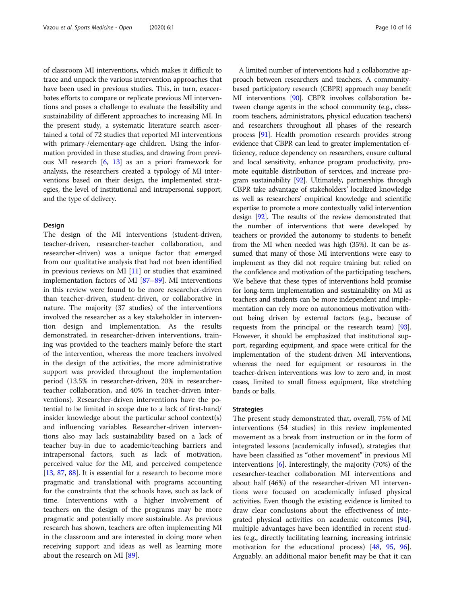of classroom MI interventions, which makes it difficult to trace and unpack the various intervention approaches that have been used in previous studies. This, in turn, exacerbates efforts to compare or replicate previous MI interventions and poses a challenge to evaluate the feasibility and sustainability of different approaches to increasing MI. In the present study, a systematic literature search ascertained a total of 72 studies that reported MI interventions with primary-/elementary-age children. Using the information provided in these studies, and drawing from previous MI research [\[6,](#page-12-0) [13\]](#page-12-0) as an a priori framework for analysis, the researchers created a typology of MI interventions based on their design, the implemented strategies, the level of institutional and intrapersonal support, and the type of delivery.

#### Design

The design of the MI interventions (student-driven, teacher-driven, researcher-teacher collaboration, and researcher-driven) was a unique factor that emerged from our qualitative analysis that had not been identified in previous reviews on MI  $[11]$  $[11]$  or studies that examined implementation factors of MI [[87](#page-14-0)–[89](#page-14-0)]. MI interventions in this review were found to be more researcher-driven than teacher-driven, student-driven, or collaborative in nature. The majority (37 studies) of the interventions involved the researcher as a key stakeholder in intervention design and implementation. As the results demonstrated, in researcher-driven interventions, training was provided to the teachers mainly before the start of the intervention, whereas the more teachers involved in the design of the activities, the more administrative support was provided throughout the implementation period (13.5% in researcher-driven, 20% in researcherteacher collaboration, and 40% in teacher-driven interventions). Researcher-driven interventions have the potential to be limited in scope due to a lack of first-hand/ insider knowledge about the particular school context(s) and influencing variables. Researcher-driven interventions also may lack sustainability based on a lack of teacher buy-in due to academic/teaching barriers and intrapersonal factors, such as lack of motivation, perceived value for the MI, and perceived competence [[13,](#page-12-0) [87,](#page-14-0) [88\]](#page-14-0). It is essential for a research to become more pragmatic and translational with programs accounting for the constraints that the schools have, such as lack of time. Interventions with a higher involvement of teachers on the design of the programs may be more pragmatic and potentially more sustainable. As previous research has shown, teachers are often implementing MI in the classroom and are interested in doing more when receiving support and ideas as well as learning more about the research on MI [[89](#page-14-0)].

A limited number of interventions had a collaborative approach between researchers and teachers. A communitybased participatory research (CBPR) approach may benefit MI interventions [\[90\]](#page-14-0). CBPR involves collaboration between change agents in the school community (e.g., classroom teachers, administrators, physical education teachers) and researchers throughout all phases of the research process [[91\]](#page-14-0). Health promotion research provides strong evidence that CBPR can lead to greater implementation efficiency, reduce dependency on researchers, ensure cultural and local sensitivity, enhance program productivity, promote equitable distribution of services, and increase program sustainability [[92](#page-14-0)]. Ultimately, partnerships through CBPR take advantage of stakeholders' localized knowledge as well as researchers' empirical knowledge and scientific expertise to promote a more contextually valid intervention design [\[92\]](#page-14-0). The results of the review demonstrated that the number of interventions that were developed by teachers or provided the autonomy to students to benefit from the MI when needed was high (35%). It can be assumed that many of those MI interventions were easy to implement as they did not require training but relied on the confidence and motivation of the participating teachers. We believe that these types of interventions hold promise for long-term implementation and sustainability on MI as teachers and students can be more independent and implementation can rely more on autonomous motivation without being driven by external factors (e.g., because of requests from the principal or the research team) [\[93](#page-14-0)]. However, it should be emphasized that institutional support, regarding equipment, and space were critical for the implementation of the student-driven MI interventions, whereas the need for equipment or resources in the teacher-driven interventions was low to zero and, in most cases, limited to small fitness equipment, like stretching bands or balls.

#### **Strategies**

The present study demonstrated that, overall, 75% of MI interventions (54 studies) in this review implemented movement as a break from instruction or in the form of integrated lessons (academically infused), strategies that have been classified as "other movement" in previous MI interventions [[6\]](#page-12-0). Interestingly, the majority (70%) of the researcher-teacher collaboration MI interventions and about half (46%) of the researcher-driven MI interventions were focused on academically infused physical activities. Even though the existing evidence is limited to draw clear conclusions about the effectiveness of integrated physical activities on academic outcomes [\[94](#page-14-0)], multiple advantages have been identified in recent studies (e.g., directly facilitating learning, increasing intrinsic motivation for the educational process) [\[48](#page-13-0), [95](#page-15-0), [96](#page-15-0)]. Arguably, an additional major benefit may be that it can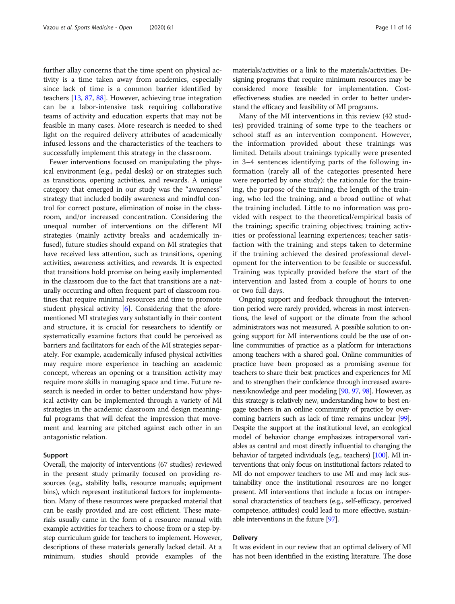further allay concerns that the time spent on physical activity is a time taken away from academics, especially since lack of time is a common barrier identified by teachers [\[13](#page-12-0), [87,](#page-14-0) [88\]](#page-14-0). However, achieving true integration can be a labor-intensive task requiring collaborative teams of activity and education experts that may not be feasible in many cases. More research is needed to shed light on the required delivery attributes of academically infused lessons and the characteristics of the teachers to successfully implement this strategy in the classroom.

Fewer interventions focused on manipulating the physical environment (e.g., pedal desks) or on strategies such as transitions, opening activities, and rewards. A unique category that emerged in our study was the "awareness" strategy that included bodily awareness and mindful control for correct posture, elimination of noise in the classroom, and/or increased concentration. Considering the unequal number of interventions on the different MI strategies (mainly activity breaks and academically infused), future studies should expand on MI strategies that have received less attention, such as transitions, opening activities, awareness activities, and rewards. It is expected that transitions hold promise on being easily implemented in the classroom due to the fact that transitions are a naturally occurring and often frequent part of classroom routines that require minimal resources and time to promote student physical activity  $[6]$  $[6]$ . Considering that the aforementioned MI strategies vary substantially in their content and structure, it is crucial for researchers to identify or systematically examine factors that could be perceived as barriers and facilitators for each of the MI strategies separately. For example, academically infused physical activities may require more experience in teaching an academic concept, whereas an opening or a transition activity may require more skills in managing space and time. Future research is needed in order to better understand how physical activity can be implemented through a variety of MI strategies in the academic classroom and design meaningful programs that will defeat the impression that movement and learning are pitched against each other in an antagonistic relation.

#### Support

Overall, the majority of interventions (67 studies) reviewed in the present study primarily focused on providing resources (e.g., stability balls, resource manuals; equipment bins), which represent institutional factors for implementation. Many of these resources were prepacked material that can be easily provided and are cost efficient. These materials usually came in the form of a resource manual with example activities for teachers to choose from or a step-bystep curriculum guide for teachers to implement. However, descriptions of these materials generally lacked detail. At a minimum, studies should provide examples of the

materials/activities or a link to the materials/activities. Designing programs that require minimum resources may be considered more feasible for implementation. Costeffectiveness studies are needed in order to better understand the efficacy and feasibility of MI programs.

Many of the MI interventions in this review (42 studies) provided training of some type to the teachers or school staff as an intervention component. However, the information provided about these trainings was limited. Details about trainings typically were presented in 3–4 sentences identifying parts of the following information (rarely all of the categories presented here were reported by one study): the rationale for the training, the purpose of the training, the length of the training, who led the training, and a broad outline of what the training included. Little to no information was provided with respect to the theoretical/empirical basis of the training; specific training objectives; training activities or professional learning experiences; teacher satisfaction with the training; and steps taken to determine if the training achieved the desired professional development for the intervention to be feasible or successful. Training was typically provided before the start of the intervention and lasted from a couple of hours to one or two full days.

Ongoing support and feedback throughout the intervention period were rarely provided, whereas in most interventions, the level of support or the climate from the school administrators was not measured. A possible solution to ongoing support for MI interventions could be the use of online communities of practice as a platform for interactions among teachers with a shared goal. Online communities of practice have been proposed as a promising avenue for teachers to share their best practices and experiences for MI and to strengthen their confidence through increased awareness/knowledge and peer modeling [[90,](#page-14-0) [97,](#page-15-0) [98\]](#page-15-0). However, as this strategy is relatively new, understanding how to best engage teachers in an online community of practice by overcoming barriers such as lack of time remains unclear [\[99](#page-15-0)]. Despite the support at the institutional level, an ecological model of behavior change emphasizes intrapersonal variables as central and most directly influential to changing the behavior of targeted individuals (e.g., teachers) [[100\]](#page-15-0). MI interventions that only focus on institutional factors related to MI do not empower teachers to use MI and may lack sustainability once the institutional resources are no longer present. MI interventions that include a focus on intrapersonal characteristics of teachers (e.g., self-efficacy, perceived competence, attitudes) could lead to more effective, sustainable interventions in the future [[97\]](#page-15-0).

#### Delivery

It was evident in our review that an optimal delivery of MI has not been identified in the existing literature. The dose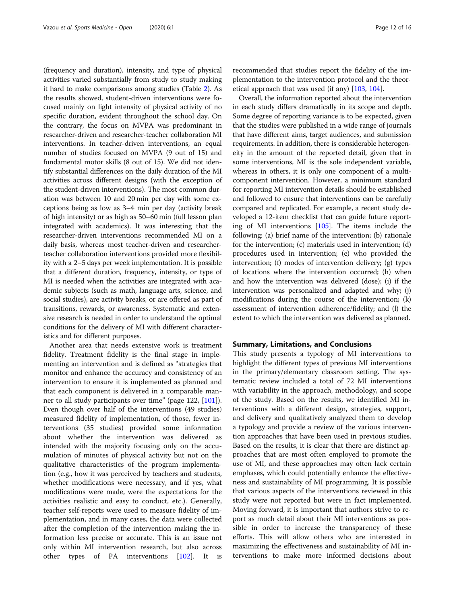(frequency and duration), intensity, and type of physical activities varied substantially from study to study making it hard to make comparisons among studies (Table [2\)](#page-5-0). As the results showed, student-driven interventions were focused mainly on light intensity of physical activity of no specific duration, evident throughout the school day. On the contrary, the focus on MVPA was predominant in researcher-driven and researcher-teacher collaboration MI interventions. In teacher-driven interventions, an equal number of studies focused on MVPA (9 out of 15) and fundamental motor skills (8 out of 15). We did not identify substantial differences on the daily duration of the MI activities across different designs (with the exception of the student-driven interventions). The most common duration was between 10 and 20 min per day with some exceptions being as low as 3–4 min per day (activity break of high intensity) or as high as 50–60 min (full lesson plan integrated with academics). It was interesting that the researcher-driven interventions recommended MI on a daily basis, whereas most teacher-driven and researcherteacher collaboration interventions provided more flexibility with a 2–5 days per week implementation. It is possible that a different duration, frequency, intensity, or type of MI is needed when the activities are integrated with academic subjects (such as math, language arts, science, and social studies), are activity breaks, or are offered as part of transitions, rewards, or awareness. Systematic and extensive research is needed in order to understand the optimal conditions for the delivery of MI with different characteristics and for different purposes.

Another area that needs extensive work is treatment fidelity. Treatment fidelity is the final stage in implementing an intervention and is defined as "strategies that monitor and enhance the accuracy and consistency of an intervention to ensure it is implemented as planned and that each component is delivered in a comparable manner to all study participants over time" (page 122, [\[101](#page-15-0)]). Even though over half of the interventions (49 studies) measured fidelity of implementation, of those, fewer interventions (35 studies) provided some information about whether the intervention was delivered as intended with the majority focusing only on the accumulation of minutes of physical activity but not on the qualitative characteristics of the program implementation (e.g., how it was perceived by teachers and students, whether modifications were necessary, and if yes, what modifications were made, were the expectations for the activities realistic and easy to conduct, etc.). Generally, teacher self-reports were used to measure fidelity of implementation, and in many cases, the data were collected after the completion of the intervention making the information less precise or accurate. This is an issue not only within MI intervention research, but also across other types of PA interventions [[102](#page-15-0)]. It is

recommended that studies report the fidelity of the implementation to the intervention protocol and the theoretical approach that was used (if any) [\[103](#page-15-0), [104\]](#page-15-0).

Overall, the information reported about the intervention in each study differs dramatically in its scope and depth. Some degree of reporting variance is to be expected, given that the studies were published in a wide range of journals that have different aims, target audiences, and submission requirements. In addition, there is considerable heterogeneity in the amount of the reported detail, given that in some interventions, MI is the sole independent variable, whereas in others, it is only one component of a multicomponent intervention. However, a minimum standard for reporting MI intervention details should be established and followed to ensure that interventions can be carefully compared and replicated. For example, a recent study developed a 12-item checklist that can guide future reporting of MI interventions [\[105](#page-15-0)]. The items include the following: (a) brief name of the intervention; (b) rationale for the intervention; (c) materials used in intervention; (d) procedures used in intervention; (e) who provided the intervention; (f) modes of intervention delivery; (g) types of locations where the intervention occurred; (h) when and how the intervention was delivered (dose); (i) if the intervention was personalized and adapted and why; (j) modifications during the course of the intervention; (k) assessment of intervention adherence/fidelity; and (l) the extent to which the intervention was delivered as planned.

#### Summary, Limitations, and Conclusions

This study presents a typology of MI interventions to highlight the different types of previous MI interventions in the primary/elementary classroom setting. The systematic review included a total of 72 MI interventions with variability in the approach, methodology, and scope of the study. Based on the results, we identified MI interventions with a different design, strategies, support, and delivery and qualitatively analyzed them to develop a typology and provide a review of the various intervention approaches that have been used in previous studies. Based on the results, it is clear that there are distinct approaches that are most often employed to promote the use of MI, and these approaches may often lack certain emphases, which could potentially enhance the effectiveness and sustainability of MI programming. It is possible that various aspects of the interventions reviewed in this study were not reported but were in fact implemented. Moving forward, it is important that authors strive to report as much detail about their MI interventions as possible in order to increase the transparency of these efforts. This will allow others who are interested in maximizing the effectiveness and sustainability of MI interventions to make more informed decisions about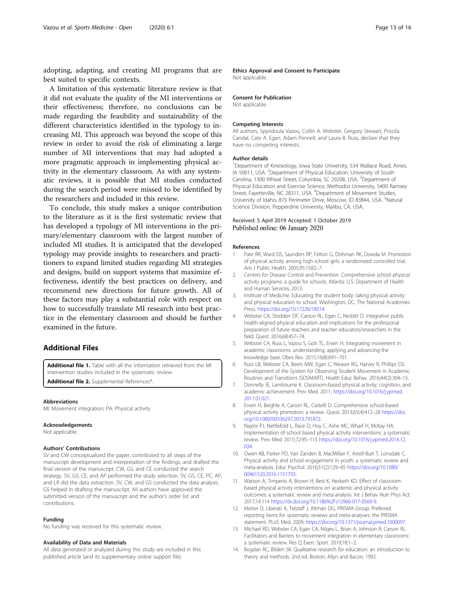<span id="page-12-0"></span>adopting, adapting, and creating MI programs that are best suited to specific contexts.

A limitation of this systematic literature review is that it did not evaluate the quality of the MI interventions or their effectiveness; therefore, no conclusions can be made regarding the feasibility and sustainability of the different characteristics identified in the typology to increasing MI. This approach was beyond the scope of this review in order to avoid the risk of eliminating a large number of MI interventions that may had adopted a more pragmatic approach in implementing physical activity in the elementary classroom. As with any systematic reviews, it is possible that MI studies conducted during the search period were missed to be identified by the researchers and included in this review.

To conclude, this study makes a unique contribution to the literature as it is the first systematic review that has developed a typology of MI interventions in the primary/elementary classroom with the largest number of included MI studies. It is anticipated that the developed typology may provide insights to researchers and practitioners to expand limited studies regarding MI strategies and designs, build on support systems that maximize effectiveness, identify the best practices on delivery, and recommend new directions for future growth. All of these factors may play a substantial role with respect on how to successfully translate MI research into best practice in the elementary classroom and should be further examined in the future.

#### Additional Files

Additional file 1. Table with all the information retrieved from the MI intervention studies included in the systematic review.

Additional file 2. Supplemental References\*.

#### Abbreviations

MI: Movement integration; PA: Physical activity

#### Acknowledgements

Not applicable.

#### Authors' Contributions

SV and CW conceptualized the paper, contributed to all steps of the manuscript development and interpretation of the findings, and drafted the final version of the manuscript. CW, GS, and CE conducted the search strategy. SV, GS, CE, and AP performed the study selection. SV, GS, CE, PC, AP, and LR did the data extraction. SV, CW, and GS conducted the data analysis. GS helped in drafting the manuscript. All authors have approved the submitted version of the manuscript and the author's order list and contributions.

#### Funding

No funding was received for this systematic review.

#### Availability of Data and Materials

All data generated or analyzed during this study are included in this published article (and its supplementary online support file).

Ethics Approval and Consent to Participate Not applicable.

#### Consent for Publication

Not applicable.

#### Competing Interests

All authors, Spyridoula Vazou, Collin A. Webster, Gregory Stewart, Priscila Candal, Cate A. Egan, Adam Pennell, and Laura B. Russ, declare that they have no competing interests.

#### Author details

<sup>1</sup>Department of Kinesiology, Iowa State University, 534 Wallace Road, Ames, IA 50011, USA. <sup>2</sup>Department of Physical Education, University of South Carolina, 1300 Wheat Street, Columbia, SC 29208, USA. <sup>3</sup>Department of Physical Education and Exercise Science, Methodist University, 5400 Ramsey Street, Fayetteville, NC 28311, USA. <sup>4</sup>Department of Movement Studies, University of Idaho, 875 Perimeter Drive, Moscow, ID 83844, USA. <sup>5</sup>Natural Science Division, Pepperdine University, Malibu, CA, USA.

## Received: 5 April 2019 Accepted: 1 October 2019<br>Published online: 06 January 2020

#### References

- 1. Pate RR, Ward DS, Saunders RP, Felton G, Dishman RK, Dowda M. Promotion of physical activity among high-school girls: a randomized controlled trial. Am J Public Health. 2005;95:1582–7.
- 2. Centers for Disease Control and Prevention. Comprehensive school physical activity programs: a guide for schools. Atlanta: U.S. Department of Health and Human Services; 2013.
- 3. Institute of Medicine. Educating the student body: taking physical activity and physical education to school. Washington, DC: The National Academies Press. https://doi.org/10.17226/18314
- 4. Webster CA, Stodden DF, Carson RL, Egan C, Nesbitt D. Integrative public health-aligned physical education and implications for the professional preparation of future teachers and teacher educators/researchers in the field. Quest. 2016;68:457–74.
- 5. Webster CA, Russ L, Vazou S, Goh TL, Erwin H. Integrating movement in academic classrooms: understanding, applying and advancing the knowledge base. Obes Rev. 2015;16(8):691–701.
- 6. Russ LB, Webster CA, Beets MW, Egan C, Weaver RG, Harvey R, Phillips DS. Development of the System for Observing Student Movement in Academic Routines and Transitions (SOSMART). Health Educ Behav. 2016;44(2):304–15.
- 7. Donnelly JE, Lambourne K. Classroom-based physical activity, cognition, and academic achievement. Prev Med. 2011; https://doi.org/10.1016/j.ypmed. 2011.01.021.
- 8. Erwin H, Beighle A, Carson RL, Castelli D. Comprehensive school-based physical activity promotion: a review. Quest. 2013;65(4):412–28 https://doi. org/10.1080/00336297.2013.791872.
- 9. Naylor PJ, Nettlefold L, Race D, Hoy C, Ashe MC, Wharf H, McKay HA. Implementation of school based physical activity interventions: a systematic review. Prev Med. 2015;72:95–115 https://doi.org/10.1016/j.ypmed.2014.12. 034.
- 10. Owen KB, Parker PD, Van Zanden B, MacMillan F, Astell-Burt T, Lonsdale C. Physical activity and school engagement in youth: a systematic review and meta-analysis. Educ Psychol. 2016;51(2):129–45 https://doi.org/10.1080/ 00461520.2016.1151793.
- 11. Watson A, Timperio A, Brown H, Best K, Hesketh KD. Effect of classroombased physical activity interventions on academic and physical activity outcomes: a systematic review and meta-analysis. Int J Behav Nutr Phys Act. 2017;14:114 https://dx.doi.org/10.1186%2Fs12966-017-0569-9.
- 12. Moher D, Liberati A, Tetzlaff J, Altman DG, PRISMA Group. Preferred reporting items for systematic reviews and meta-analyses: the PRISMA statement. PLoS Med. 2009; https://doi.org/10.1371/journal.pmed.1000097.
- 13. Michael RD, Webster CA, Egan CA, Nilges L, Brian A, Johnson R, Carson RL. Facilitators and Barriers to movement integration in elementary classrooms: a systematic review. Res Q Exerc Sport. 2019;18:1–2.
- 14. Bogdan RC, Bilden SK. Qualitative research for education: an introduction to theory and methods. 2nd ed. Boston: Allyn and Bacon; 1992.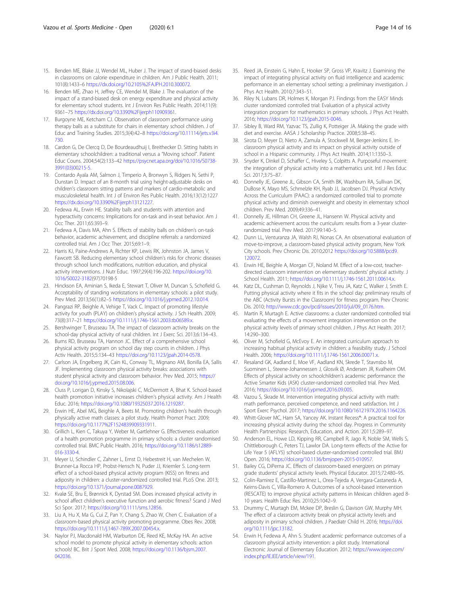- <span id="page-13-0"></span>15. Benden ME, Blake JJ, Wendel ML, Huber J. The impact of stand-biased desks in classrooms on calorie expenditure in children. Am J Public Health. 2011; 101(8):1433–6 https://dx.doi.org/10.2105%2FAJPH.2010.300072.
- 16. Benden ME, Zhao H, Jeffrey CE, Wendel M, Blake J. The evaluation of the impact of a stand-biased desk on energy expenditure and physical activity for elementary school students. Int J Environ Res Public Health. 2014;11(9): 9361–75 https://dx.doi.org/10.3390%2Fijerph110909361.
- 17. Burgoyne ME, Ketcham CJ. Observation of classroom performance using therapy balls as a substitute for chairs in elementary school children. J of Educ and Training Studies. 2015;3(4):42–8 https://doi.org/10.11114/jets.v3i4. 730.
- 18. Cardon G, De Clercq D, De Bourdeaudhuij I, Breithecker D, Sitting habits in elementary schoolchildren: a traditional versus a "Moving school". Patient Educ Couns. 2004;54(2):133–42 https://psycnet.apa.org/doi/10.1016/S0738- 3991(03)00215-5.
- Contardo Ayala AM, Salmon J, Timperio A, Bronwyn S, Ridgers N, Sethi P, Dunstan D. Impact of an 8-month trial using height-adjustable desks on children's classroom sitting patterns and markers of cardio-metabolic and musculoskeletal health. Int J of Environ Res Public Health. 2016;13(12):1227 https://dx.doi.org/10.3390%2Fijerph13121227.
- 20. Fedewa AL, Erwin HE. Stability balls and students with attention and hyperactivity concerns: Implications for on-task and in-seat behavior. Am J Occ Ther. 2011;65:393–9.
- 21. Fedewa A, Davis MA, Ahn S. Effects of stability balls on children's on-task behavior, academic achievement, and discipline referrals: a randomized controlled trial. Am J Occ Ther. 2015;69:1–9.
- 22. Harris KJ, Paine-Andrews A, Richter KP, Lewis RK, Johnston JA, James V, Fawcett SB. Reducing elementary school children's risks for chronic diseases through school lunch modifications, nutrition education, and physical activity interventions. J Nutr Educ. 1997;29(4):196-202. https://doi.org/10. 1016/S0022-3182(97)70198-5
- 23. Hinckson EA, Aminian S, Ikeda E, Stewart T, Oliver M, Duncan S, Schofield G. Acceptability of standing workstations in elementary schools: a pilot study. Prev Med. 2013;56(1):82–5 https://doi.org/10.1016/j.ypmed.2012.10.014.
- 24. Pangrazi RP, Beighle A, Vehige T, Vack C. Impact of promoting lifestyle activity for youth (PLAY) on children's physical activity. J Sch Health. 2009; 73(8):317–21 https://doi.org/10.1111/j.1746-1561.2003.tb06589.x.
- 25. Bershwinger T, Brusseau TA. The impact of classroom activity breaks on the school-day physical activity of rural children. Int J Exerc Sci. 2013;6:134–43.
- 26. Burns RD, Brusseau TA, Hannon JC. Effect of a comprehensive school physical activity program on school day step counts in children. J Phys Activ Health. 2015;5:134–43 https://doi.org/10.1123/jpah.2014-0578.
- 27. Carlson JA, Engelberg JK, Cain KL, Conway TL, Mignano AM, Bonilla EA, Sallis JF. Implementing classroom physical activity breaks: associations with student physical activity and classroom behavior. Prev Med. 2015; https:// doi.org/10.1016/j.ypmed.2015.08.006.
- 28. Cluss P, Lorigan D, Kinsky S, Nikolajski C, McDermott A, Bhat K. School-based health promotion initiative increases children's physical activity. Am J Health Educ. 2016; https://doi.org/10.1080/19325037.2016.1219287.
- 29. Erwin HE, Abel MG, Beighle A, Beets M. Promoting children's health through physically active math classes: a pilot study. Health Promot Pract. 2009; https://doi.org/10.1177%2F1524839909331911.
- 30. Grillich L, Kien C, Takuya Y, Weber M, Gartlehner G. Effectiveness evaluation of a health promotion programme in primary schools: a cluster randomised controlled trial. BMC Public Health. 2016; https://doi.org/10.1186/s12889- 016-3330-4.
- 31. Meyer U, Schindler C, Zahner L, Ernst D, Hebestreit H, van Mechelen W, Brunner-La Rocca HP, Probst-Hensch N, Puder JJ, Kriemler S. Long-term effect of a school-based physical activity program (KISS) on fitness and adiposity in children: a cluster-randomized controlled trial. PLoS One. 2013; https://doi.org/10.1371/journal.pone.0087929.
- 32. Kvalø SE, Bru E, Brønnick K, Dyrstad SM. Does increased physical activity in school affect children's executive function and aerobic fitness? Scand J Med Sci Spor. 2017; https://doi.org/10.1111/sms.12856.
- 33. Liu A, Hu X, Ma G, Cui Z, Pan Y, Chang S, Zhao W, Chen C. Evaluation of a classroom-based physical activity promoting programme. Obes Rev. 2008; https://doi.org/10.1111/j.1467-789X.2007.00454.x.
- 34. Naylor PJ, Macdonald HM, Warburton DE, Reed KE, McKay HA. An active school model to promote physical activity in elementary schools: action schools! BC. Brit J Sport Med. 2008; https://doi.org/10.1136/bjsm.2007. 042036.
- 35. Reed JA, Einstein G, Hahn E, Hooker SP, Gross VP, Kravitz J. Examining the impact of integrating physical activity on fluid intelligence and academic performance in an elementary school setting: a preliminary investigation. J Phys Act Health. 2010;7:343–51.
- 36. Riley N, Lubans DR, Holmes K, Morgan PJ. Findings from the EASY Minds cluster randomized controlled trial: Evaluation of a physical activity integration program for mathematics in primary schools. J Phys Act Health. 2016; https://doi.org/10.1123/jpah.2015-0046.
- 37. Sibley B, Ward RM, Yazvac TS, Zullig K, Potteiger JA. Making the grade with diet and exercise. AASA J Scholarship Practice. 2008;5:38–45.
- 38. Sirota D, Meyer D, Nieto A, Zamula A, Stockwell M, Berger-Jenkins E. Inclassroom physical activity and its impact on physical activity outside of school in a Hispanic community. J Phys Act Health. 2014;11:1350–3.
- 39. Snyder K, Dinkel D, Schaffer C, Hiveley S, Colpitts A. Purposeful movement: the integration of physical activity into a mathematics unit. Intl J Res Educ Sci. 2017;3:75–87.
- 40. Donnelly JE, Greene JL, Gibson CA, Smith BK, Washburn RA, Sullivan DK, DuBose K, Mayo MS, Schmelzle KH, Ryab JJ, Jacobsen DJ. Physical Activity Across the Curriculum (PAAC): a randomized controlled trial to promote physical activity and diminish overweight and obesity in elementary school children. Prev Med. 2009;49:336–41.
- 41. Donnelly JE, Hillman CH, Greene JL, Hansenn W. Physical activity and academic achievement across the curriculum: results from a 3-year clusterrandomized trial. Prev Med. 2017;99:140–5.
- 42. Dunn LL, Venturanza JA, Walsh RJ, Nonas CA. An observational evaluation of move-to-improve, a classroom-based physical activity program, New York City schools. Prev Chronic Dis. 2010;2012 https://doi.org/10.5888/pcd9. 120072.
- 43. Erwin HE, Beighle A, Morgan CF, Noland M. Effect of a low-cost, teacherdirected classroom intervention on elementary students' physical activity. J School Health. 2011; https://doi.org/10.1111/j.1746-1561.2011.00614.x.
- 44. Katz DL, Cushman D, Reynolds J, Njike V, Treu JA, Katz C, Walker J, Smith E. Putting physical activity where it fits in the school day: preliminary results of the ABC (Activity Bursts in the Classroom) for fitness program. Prev Chronic Dis. 2010; http://www.cdc.gov/pcd/issues/2010/jul/09\_0176.htm.
- 45. Martin R, Murtagh E. Active classrooms: a cluster randomized controlled trial evaluating the effects of a movement integration intervention on the physical activity levels of primary school children. J Phys Act Health. 2017; 14:290–300.
- 46. Oliver M, Schofield G, McEvoy E. An integrated curriculum approach to increasing habitual physical activity in children: a feasibility study. J School Health. 2006; https://doi.org/10.1111/j.1746-1561.2006.00071.x.
- 47. Resaland GK, Aadland E, Moe VF, Aadland KN, Skrede T, Stavnsbo M, Suominen L, Steene-Johannessen J, Glosvik Ø, Andersen JR, Kvalheim OM. Effects of physical activity on schoolchildren's academic performance: the Active Smarter Kids (ASK) cluster-randomized controlled trial. Prev Med. 2016; https://doi.org/10.1016/j.ypmed.2016.09.005.
- 48. Vazou S, Skrade M. Intervention integrating physical activity with math: math performance, perceived competence, and need satisfaction. Int J Sport Exerc Psychol. 2017; https://doi.org/10.1080/1612197X.2016.1164226.
- 49. Whitt-Glover MC, Ham SA, Yancey AK. Instant Recess®: A practical tool for increasing physical activity during the school day. Progress in Community Health Partnerships: Research, Education, and Action. 2011;5:289–97.
- 50. Anderson EL, Howe LD, Kipping RR, Campbell R, Jago R, Noble SM, Wells S, Chittleborough C, Peters TJ, Lawlor DA. Long-term effects of the Active for Life Year 5 (AFLY5) school-based cluster-randomised controlled trial. BMJ Open. 2016; https://doi.org/10.1136/bmjopen-2015-010957.
- 51. Bailey CG, DiPerna JC. Effects of classroom-based energizers on primary grade students' physical activity levels. Physical Educator. 2015;72:480–95.
- 52. Colin-Ramirez E, Castillo-Martinez L, Orea-Tejeda A, Vergara-Castaneda A, Keirns-Davis C, Villa-Romero A. Outcomes of a school-based intervention (RESCATE) to improve physical activity patterns in Mexican children aged 8- 10 years. Health Educ Res. 2010;25:1042–9.
- 53. Drummy C, Murtagh EM, Mckee DP, Breslin G, Davison GW, Murphy MH. The effect of a classroom activity break on physical activity levels and adiposity in primary school children. J Paediatr Child H. 2016; https://doi. org/10.1111/jpc.13182.
- 54. Erwin H, Fedewa A, Ahn S. Student academic performance outcomes of a classroom physical activity intervention: a pilot study. International Electronic Journal of Elementary Education. 2012; https://www.iejee.com/ index.php/IEJEE/article/view/191.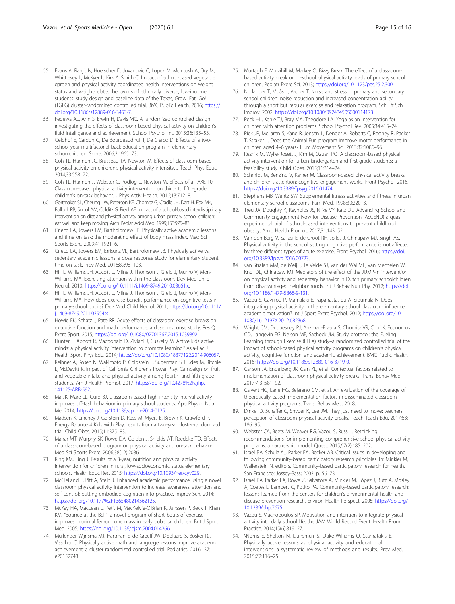- <span id="page-14-0"></span>55. Evans A, Ranjit N, Hoelscher D, Jovanovic C, Lopez M, McIntosh A, Ory M, Whittlesey L, McKyer L, Kirk A, Smith C. Impact of school-based vegetable garden and physical activity coordinated health interventions on weight status and weight-related behaviors of ethnically diverse, low-income students: study design and baseline data of the Texas, Grow! Eat! Go! (TGEG) cluster-randomized controlled trial. BMC Public Health. 2016; https:// doi.org/10.1186/s12889-016-3453-7.
- 56. Fedewa AL, Ahn S, Erwin H, Davis MC. A randomized controlled design investigating the effects of classroom-based physical activity on children's fluid intelligence and achievement. School Psychol Int. 2015;36:135–53.
- 57. Geldhof E, Cardon G, De Bourdeaudhuij I, De Clercq D. Effects of a twoschool-year multifactorial back education program in elementary schoolchildren. Spine. 2006;3:1965–73.
- 58. Goh TL, Hannon JC, Brusseau TA, Newton M. Effects of classroom-based physical activity on children's physical activity intensity. J Teach Phys Educ. 2014;33:558–72.
- 59. Goh TL, Hannon J, Webster C, Podlog L, Newton M. Effects of a TAKE 10! Classroom-based physical activity intervention on third- to fifth-grade children's on-task behavior. J Phys Activ Health. 2016;13:712–8.
- 60. Gortmaker SL, Cheung LW, Peterson KE, Chomitz G, Cradle JH, Dart H, Fox MK, Bullock RB, Sobol AM, Colditz G, Field AE. Impact of a school-based interdisciplinary intervention on diet and physical activity among urban primary school children: eat well and keep moving. Arch Pediat Adol Med. 1999;153:975–83.
- 61. Grieco LA, Jowers EM, Bartholomew JB. Physically active academic lessons and time on task: the moderating effect of body mass index. Med Sci Sports Exerc. 2009;41:1921–6.
- 62. Grieco LA, Jowers EM, Errisuriz VL, Bartholomew JB. Physically active vs. sedentary academic lessons: a dose response study for elementary student time on task. Prev Med. 2016;89:98–103.
- 63. Hill L, Williams JH, Aucott L, Milne J, Thomson J, Greig J, Munro V, Mon-Williams MA. Exercising attention within the classroom. Dev Med Child Neurol. 2010; https://doi.org/10.1111/j.1469-8749.2010.03661.x.
- 64. Hill L, Williams JH, Aucott L, Milne J, Thomson J, Greig J, Munro V, Mon-Williams MA. How does exercise benefit performance on cognitive tests in primary-school pupils? Dev Med Child Neurol. 2011; https://doi.org/10.1111/ j.1469-8749.2011.03954.x.
- 65. Howie EK, Schatz J, Pate RR. Acute effects of classroom exercise breaks on executive function and math performance: a dose–response study. Res Q Exerc Sport. 2015; https://doi.org/10.1080/02701367.2015.1039892.
- 66. Hunter L, Abbott R, Macdonald D, Ziviani J, Cuskelly M. Active kids active minds: a physical activity intervention to promote learning? Asia-Pac J Health Sport Phys Edu. 2014; https://doi.org/10.1080/18377122.2014.906057.
- 67. Keihner A, Rosen N, Wakimoto P, Goldstein L, Sugerman S, Hudes M, Ritchie L, McDevitt K. Impact of California Children's Power Play! Campaign on fruit and vegetable intake and physical activity among fourth- and fifth-grade students. Am J Health Promot. 2017; https://doi.org/10.4278%2Fajhp. 141125-ARB-592.
- 68. Ma JK, Mare LL, Gurd BJ. Classroom-based high-intensity interval activity improves off-task behaviour in primary school students. App Physiol Nutr Me. 2014; https://doi.org/10.1139/apnm-2014-0125.
- 69. Madsen K, Linchey J, Gerstein D, Ross M, Myers E, Brown K, Crawford P. Energy Balance 4 Kids with Play: results from a two-year cluster-randomized trial. Child Obes. 2015;11:375–83.
- 70. Mahar MT, Murphy SK, Rowe DA, Golden J, Shields AT, Raedeke TD. Effects of a classroom-based program on physical activity and on-task behavior. Med Sci Sports Exerc. 2006;38(12):2086.
- 71. King KM, Ling J. Results of a 3-year, nutrition and physical activity intervention for children in rural, low-socioeconomic status elementary schools. Health Educ Res. 2015; https://doi.org/10.1093/her/cyv029.
- 72. McClelland E, Pitt A, Stein J. Enhanced academic performance using a novel classroom physical activity intervention to increase awareness, attention and self-control: putting embodied cognition into practice. Improv Sch. 2014: https://doi.org/10.1177%2F1365480214562125.
- 73. McKay HA, MacLean L, Petit M, MacKelvie-O'Brien K, Janssen P, Beck T, Khan KM. "Bounce at the Bell": a novel program of short bouts of exercise improves proximal femur bone mass in early pubertal children. Brit J Sport Med. 2005; https://doi.org/10.1136/bjsm.2004.014266.
- 74. Mullender-Wijnsma MJ, Hartman E, de Greeff JW, Doolaard S, Bosker RJ, Visscher C. Physically active math and language lessons improve academic achievement: a cluster randomized controlled trial. Pediatrics. 2016;137: e20152743.
- 75. Murtagh E, Mulvihill M, Markey O. Bizzy Break! The effect of a classroombased activity break on in-school physical activity levels of primary school children. Pediatr Exerc Sci. 2013; https://doi.org/10.1123/pes.25.2.300.
- 76. Norlander T, Moås L, Archer T. Noise and stress in primary and secondary school children: noise reduction and increased concentration ability through a short but regular exercise and relaxation program. Sch Eff Sch Improv. 2002; https://doi.org/10.1080/092434505000114173.
- 77. Peck HL, Kehle TJ, Bray MA, Theodore LA. Yoga as an intervention for children with attention problems. School Psychol Rev. 2005;34:415–24.
- 78. Piek JP, McLaren S, Kane R, Jensen L, Dender A, Roberts C, Rooney R, Packer T, Straker L. Does the Animal Fun program improve motor performance in children aged 4–6 years? Hum Movement Sci. 2013;32:1086–96.
- 79. Reznik M, Wylie-Rosett J, Kim M, Ozuah PO. A classroom-based physical activity intervention for urban kindergarten and first-grade students: a feasibility study. Child Obes. 2015;11:314–24.
- 80. Schmidt M, Benzing V, Kamer M. Classroom-based physical activity breaks and children's attention: cognitive engagement works! Front Psychol. 2016. https://doi.org/10.3389/fpsyg.2016.01474.
- 81. Stephens MB, Wentz SW. Supplemental fitness activities and fitness in urban elementary school classrooms. Fam Med. 1998;30:220–3.
- 82. Treu JA, Doughty K, Reynolds JS, Njike VY, Katz DL. Advancing School and Community Engagement Now for Disease Prevention (ASCEND) a quasiexperimental trial of school-based interventions to prevent childhood obesity. Am J Health Promot. 2017;31:143–52.
- 83. Van den Berg V, Saliasi E, de Groot RH, Jolles J, Chinapaw MJ, Singh AS. Physical activity in the school setting: cognitive performance is not affected by three different types of acute exercise. Front Psychol. 2016; https://doi. org/10.3389/fpsyg.2016.00723.
- van Stralen MM, de Meij J, Te Velde SJ, Van der Wal MF, Van Mechelen W, Knol DL, Chinapaw MJ. Mediators of the effect of the JUMP-in intervention on physical activity and sedentary behavior in Dutch primary schoolchildren from disadvantaged neighborhoods. Int J Behav Nutr Phy. 2012; https://doi. org/10.1186/1479-5868-9-131.
- Vazou S, Gavrilou P, Mamalaki E, Papanastasiou A, Sioumala N. Does integrating physical activity in the elementary school classroom influence academic motivation? Int J Sport Exerc Psychol. 2012; https://doi.org/10. 1080/1612197X.2012.682368.
- 86. Wright CM, Duquesnay PJ, Anzman-Frasca S, Chomitz VR, Chui K, Economos CD, Langevin EG, Nelson ME, Sacheck JM. Study protocol: the Fueling Learning through Exercise (FLEX) study–a randomized controlled trial of the impact of school-based physical activity programs on children's physical activity, cognitive function, and academic achievement. BMC Public Health. 2016; https://doi.org/10.1186/s12889-016-3719-0.
- 87. Carlson JA, Engelberg JK, Cain KL, et al. Contextual factors related to implementation of classroom physical activity breaks. Transl Behav Med. 2017;7(3):581–92.
- Calvert HG, Lane HG, Bejarano CM, et al. An evaluation of the coverage of theoretically based implementation factors in disseminated classroom physical activity programs. Transl Behav Med. 2018.
- 89. Dinkel D, Schaffer C, Snyder K, Lee JM. They just need to move: teachers' perception of classroom physical activity breaks. Teach Teach Edu. 2017;63: 186–95.
- 90. Webster CA, Beets M, Weaver RG, Vazou S, Russ L. Rethinking recommendations for implementing comprehensive school physical activity programs: a partnership model. Quest. 2015;67(2):185–202.
- 91. Israel BA, Schulz AJ, Parker EA, Becker AB. Critical issues in developing and following community-based participatory research principles. In: Minkler M, Wallerstein N, editors. Community-based participatory research for health. San Francisco: Jossey-Bass; 2003. p. 56–73.
- 92. Israel BA, Parker EA, Rowe Z, Salvatore A, Minkler M, López J, Butz A, Mosley A, Coates L, Lambert G, Potito PA. Community-based participatory research: lessons learned from the centers for children's environmental health and disease prevention research. Environ Health Perspect. 2005; https://doi.org/ 10.1289/ehp.7675.
- 93. Vazou S, Vlachopoulos SP. Motivation and intention to integrate physical activity into daily school life: the JAM World Record Event. Health Prom Practice. 2014;15(6):819–27.
- 94. \Norris E, Shelton N, Dunsmuir S, Duke-Williams O, Stamatakis E. Physically active lessons as physical activity and educational interventions: a systematic review of methods and results. Prev Med. 2015;72:116–25.